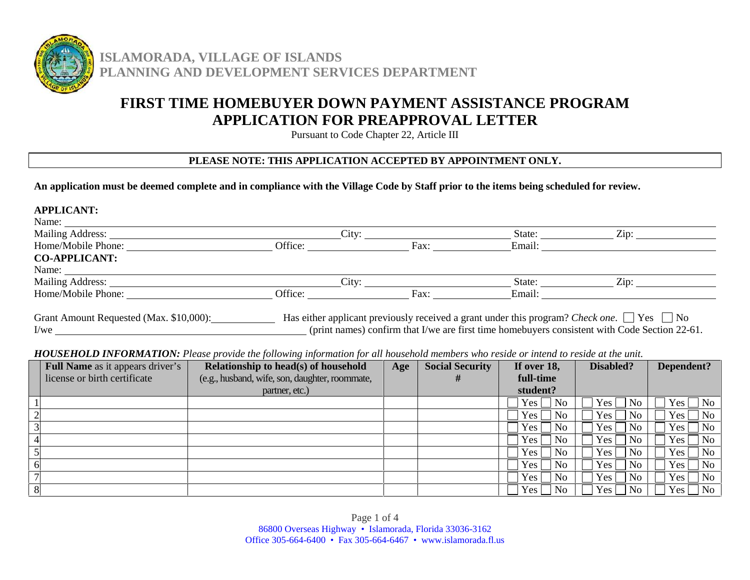

**ISLAMORADA, VILLAGE OF ISLANDS PLANNING AND DEVELOPMENT SERVICES DEPARTMENT**

# **FIRST TIME HOMEBUYER DOWN PAYMENT ASSISTANCE PROGRAM APPLICATION FOR PREAPPROVAL LETTER**

Pursuant to Code Chapter 22, Article III

# **PLEASE NOTE: THIS APPLICATION ACCEPTED BY APPOINTMENT ONLY.**

**An application must be deemed complete and in compliance with the Village Code by Staff prior to the items being scheduled for review.**

#### **APPLICANT:**

| Name:                                     |         |      |        |                                                                                                         |  |
|-------------------------------------------|---------|------|--------|---------------------------------------------------------------------------------------------------------|--|
| Mailing Address:                          | City:   |      | State: | Zip:                                                                                                    |  |
| Home/Mobile Phone:                        | Office: | Fax: | Email: |                                                                                                         |  |
| <b>CO-APPLICANT:</b>                      |         |      |        |                                                                                                         |  |
| Name:                                     |         |      |        |                                                                                                         |  |
| Mailing Address:                          | City:   |      | State: | $\mathrm{Zin}$ :                                                                                        |  |
| Home/Mobile Phone:                        | Office: | Fax: | Email: |                                                                                                         |  |
| Grant Amount Requested $(Max \sin 0.000)$ |         |      |        | Has either applicant previously received a grap under this program? Check one $\vert$ [Ves $\vert$ [No] |  |

Grant Amount Requested (Max. \$10,000): Has either applicant previously received a grant under this program? *Check one*. Yes No I/we (print names) confirm that I/we are first time homebuyers consistent with Code Section 22-61.

# *HOUSEHOLD INFORMATION: Please provide the following information for all household members who reside or intend to reside at the unit.*

| Full Name as it appears driver's | $\cdot$<br>Relationship to head(s) of household | Age | <b>Social Security</b> | If over 18,              | Disabled?                                       | Dependent?                         |
|----------------------------------|-------------------------------------------------|-----|------------------------|--------------------------|-------------------------------------------------|------------------------------------|
| license or birth certificate     | (e.g., husband, wife, son, daughter, roommate,  |     | #                      | full-time                |                                                 |                                    |
|                                  | partner, etc.)                                  |     |                        | student?                 |                                                 |                                    |
|                                  |                                                 |     |                        | $Yes \nightharpoonup No$ | No.<br>Yes                                      | $\blacksquare$ No<br>Yes           |
|                                  |                                                 |     |                        | $Yes \Box$ No            | Yes <sub>1</sub><br>No                          | N <sub>o</sub><br>Yes              |
|                                  |                                                 |     |                        | $Yes \Box No$            | Yes  <br>$\overline{\phantom{a}}$ No            | $\blacksquare$ No<br>Yes           |
|                                  |                                                 |     |                        | $Yes \Box No$            | Yes <sub>1</sub><br>  No                        | N <sub>o</sub><br>Yes <sub>1</sub> |
|                                  |                                                 |     |                        | $Yes \Box No$            | Yes <sub>l</sub><br>$\overline{\phantom{a}}$ No | $\overline{\phantom{a}}$ No<br>Yes |
|                                  |                                                 |     |                        | $Yes \Box No$            | Yes<br>  No                                     | $\overline{N}$<br>Yes              |
|                                  |                                                 |     |                        | $Yes \Box No$            | Yes  <br>  No                                   | N <sub>o</sub><br>$Yes \mid$       |
|                                  |                                                 |     |                        | $Yes \Box No$            | Yes  <br>  No                                   | <b>No</b><br>Yes <sub>1</sub>      |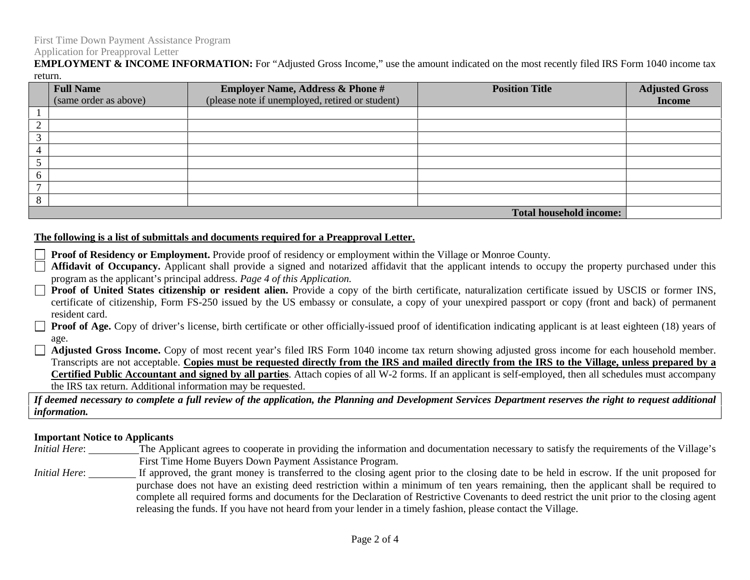# Application for Preapproval Letter

**EMPLOYMENT & INCOME INFORMATION:** For "Adjusted Gross Income," use the amount indicated on the most recently filed IRS Form 1040 income tax return.

|        | <b>Full Name</b><br>(same order as above) | <b>Employer Name, Address &amp; Phone #</b><br>(please note if unemployed, retired or student) | <b>Position Title</b>          | <b>Adjusted Gross</b><br><b>Income</b> |
|--------|-------------------------------------------|------------------------------------------------------------------------------------------------|--------------------------------|----------------------------------------|
|        |                                           |                                                                                                |                                |                                        |
|        |                                           |                                                                                                |                                |                                        |
|        |                                           |                                                                                                |                                |                                        |
|        |                                           |                                                                                                |                                |                                        |
|        |                                           |                                                                                                |                                |                                        |
|        |                                           |                                                                                                |                                |                                        |
|        |                                           |                                                                                                |                                |                                        |
| o<br>Ō |                                           |                                                                                                |                                |                                        |
|        |                                           |                                                                                                | <b>Total household income:</b> |                                        |

### **The following is a list of submittals and documents required for a Preapproval Letter.**

- **Proof of Residency or Employment.** Provide proof of residency or employment within the Village or Monroe County.
- Affidavit of Occupancy. Applicant shall provide a signed and notarized affidavit that the applicant intends to occupy the property purchased under this program as the applicant's principal address. *Page 4 of this Application.*
- **Proof of United States citizenship or resident alien.** Provide a copy of the birth certificate, naturalization certificate issued by USCIS or former INS, certificate of citizenship, Form FS-250 issued by the US embassy or consulate, a copy of your unexpired passport or copy (front and back) of permanent resident card.
- **Proof of Age.** Copy of driver's license, birth certificate or other officially-issued proof of identification indicating applicant is at least eighteen (18) years of age.
- **Adjusted Gross Income.** Copy of most recent year's filed IRS Form 1040 income tax return showing adjusted gross income for each household member. Transcripts are not acceptable. **Copies must be requested directly from the IRS and mailed directly from the IRS to the Village, unless prepared by a Certified Public Accountant and signed by all parties**. Attach copies of all W-2 forms. If an applicant is self-employed, then all schedules must accompany the IRS tax return. Additional information may be requested.

*If deemed necessary to complete a full review of the application, the Planning and Development Services Department reserves the right to request additional information.*

# **Important Notice to Applicants**

- *Initial Here*: The Applicant agrees to cooperate in providing the information and documentation necessary to satisfy the requirements of the Village's First Time Home Buyers Down Payment Assistance Program.
- *Initial Here*: If approved, the grant money is transferred to the closing agent prior to the closing date to be held in escrow. If the unit proposed for purchase does not have an existing deed restriction within a minimum of ten years remaining, then the applicant shall be required to complete all required forms and documents for the Declaration of Restrictive Covenants to deed restrict the unit prior to the closing agent releasing the funds. If you have not heard from your lender in a timely fashion, please contact the Village.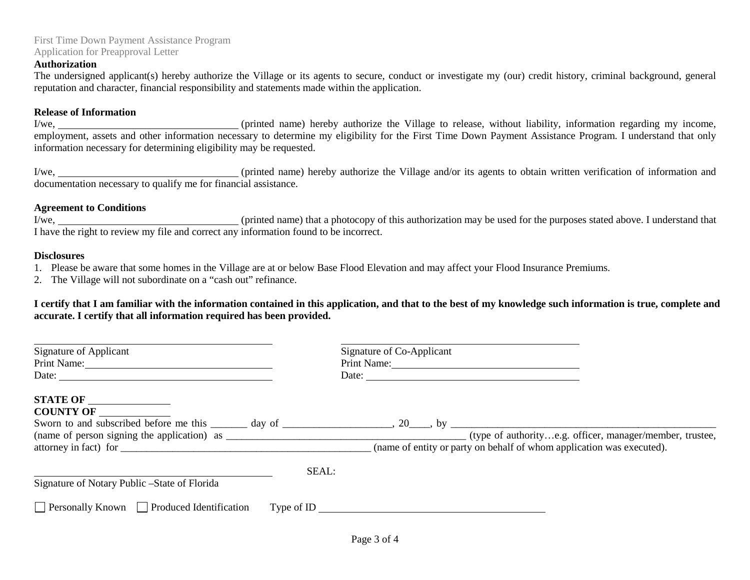## First Time Down Payment Assistance Program Application for Preapproval Letter

#### **Authorization**

The undersigned applicant(s) hereby authorize the Village or its agents to secure, conduct or investigate my (our) credit history, criminal background, general reputation and character, financial responsibility and statements made within the application.

#### **Release of Information**

I/we, (printed name) hereby authorize the Village to release, without liability, information regarding my income, employment, assets and other information necessary to determine my eligibility for the First Time Down Payment Assistance Program. I understand that only information necessary for determining eligibility may be requested.

I/we, 1/we, 1/we, 1/we, 1/we, 1/we, 1/we, 1/we, 1/we, 1/we, 1/we, 1/we, 1/we, 1/we, 1/we, 1/we, 1/we, 1/we, 1/we, 1/we, 1/we, 1/we, 1/we, 1/we, 1/we, 1/we, 1/we, 1/we, 1/we, 1/we, 1/we, 1/we, 1/we, 1/we, 1/we, 1/we, 1/we, documentation necessary to qualify me for financial assistance.

#### **Agreement to Conditions**

I/we, (printed name) that a photocopy of this authorization may be used for the purposes stated above. I understand that I have the right to review my file and correct any information found to be incorrect.

#### **Disclosures**

- 1. Please be aware that some homes in the Village are at or below Base Flood Elevation and may affect your Flood Insurance Premiums.
- 2. The Village will not subordinate on a "cash out" refinance.

**I certify that I am familiar with the information contained in this application, and that to the best of my knowledge such information is true, complete and accurate. I certify that all information required has been provided.**

| Signature of Applicant                                 | Signature of Co-Applicant                                                                                           |
|--------------------------------------------------------|---------------------------------------------------------------------------------------------------------------------|
| Print Name:                                            | Print Name:                                                                                                         |
| Date:                                                  | Date:                                                                                                               |
| <b>STATE OF</b>                                        | Sworn to and subscribed before me this $\_\_\_\_$ day of $\_\_\_\_\_$ , 20, by $\_\_\_\_\_\_$ , by $\_\_\_\_\_\_\_$ |
| <b>COUNTY OF</b>                                       |                                                                                                                     |
| attorney in fact) for                                  | (name of entity or party on behalf of whom application was executed).                                               |
| SEAL:<br>Signature of Notary Public – State of Florida |                                                                                                                     |
| $\Box$ Personally Known $\Box$ Produced Identification | Type of ID                                                                                                          |